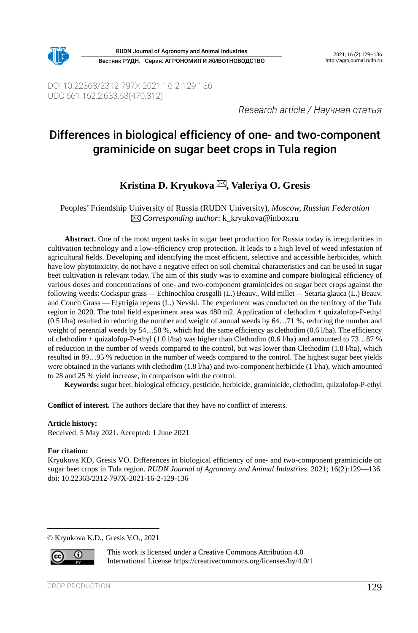

Вестник РУДН. Серия: АГРОНОМИЯ И ЖИВОТНОВОДСТВО RUDN Journal of Agronomy and Animal Industries 2021; 16 (2):129-136

DOI 10.22363/2312-797X-2021-16-2-129-136 UDC 661.162.2:633.63(470.312)

*Research article / Научная статья*

# Differences in biological efficiency of one- and two-component graminicide on sugar beet crops in Tula region

# **Kristina D. Kryukova , Valeriya O. Gresis**

Peoples' Friendship University of Russia (RUDN University), *Moscow, Russian Federation Corresponding author*: k\_kryukova@inbox.ru

**Abstract.** One of the most urgent tasks in sugar beet production for Russia today is irregularities in cultivation technology and a low-efficiency crop protection. It leads to a high level of weed infestation of agricultural fields. Developing and identifying the most efficient, selective and accessible herbicides, which have low phytotoxicity, do not have a negative effect on soil chemical characteristics and can be used in sugar beet cultivation is relevant today. The aim of this study was to examine and compare biological efficiency of various doses and concentrations of one- and two-component graminicides on sugar beet crops against the following weeds: Cockspur grass — Echinochloa crusgalli (L.) Beauv., Wild millet— Setaria glauca (L.) Beauv. and Couch Grass — Elytrigia repens (L.) Nevski. The experiment was conducted on the territory of the Tula region in 2020. The total field experiment area was 480 m2. Application of clethodim + quizalofop-P‑ethyl (0.5 l/ha) resulted in reducing the number and weight of annual weeds by 64…71 %, reducing the number and weight of perennial weeds by 54...58 %, which had the same efficiency as clethodim (0.6 l/ha). The efficiency of clethodim + quizalofop-P-ethyl (1.0 l/ha) was higher than Clethodim (0.6 l/ha) and amounted to 73…87 % of reduction in the number of weeds compared to the control, but was lower than Clethodim (1.8 l/ha), which resulted in 89…95 % reduction in the number of weeds compared to the control. The highest sugar beet yields were obtained in the variants with clethodim (1.8 l/ha) and two-component herbicide (1 l/ha), which amounted to 28 and 25 % yield increase, in comparison with the control.

**Keywords:** sugar beet, biological efficacy, pesticide, herbicide, graminicide, clethodim, quizalofop-P‑ethyl

**Conflict of interest.** The authors declare that they have no conflict of interests.

#### **Article history:**

Received: 5 May 2021. Accepted: 1 June 2021

#### **For citation:**

Kryukova KD, Gresis VO. Differences in biological efficiency of one- and two-component graminicide on sugar beet crops in Tula region. *RUDN Journal of Agronomy and Animal Industries*. 2021; 16(2):129—136. doi: 10.22363/2312-797X‑2021-16-2-129-136

© Kryukova K.D., Gresis V.O., 2021



This work is licensed under a Creative Commons Attribution 4.0 International License https://creativecommons.org/licenses/by/4.0/1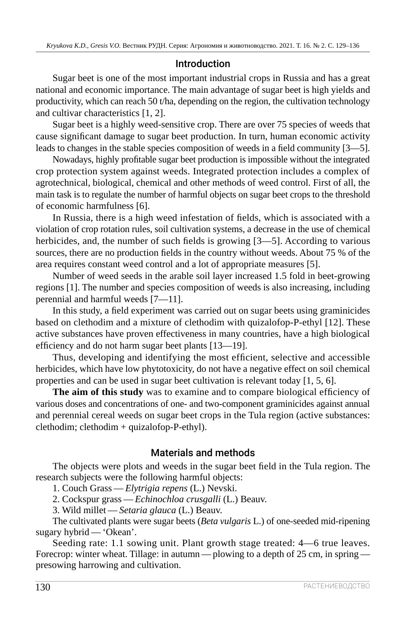## Introduction

Sugar beet is one of the most important industrial crops in Russia and has a great national and economic importance. The main advantage of sugar beet is high yields and productivity, which can reach 50 t/ha, depending on the region, the cultivation technology and cultivar characteristics [1, 2].

Sugar beet is a highly weed-sensitive crop. There are over 75 species of weeds that cause significant damage to sugar beet production. In turn, human economic activity leads to changes in the stable species composition of weeds in a field community [3—5].

Nowadays, highly profitable sugar beet production is impossible without the integrated crop protection system against weeds. Integrated protection includes a complex of agrotechnical, biological, chemical and other methods of weed control. First of all, the main task is to regulate the number of harmful objects on sugar beet crops to the threshold of economic harmfulness [6].

In Russia, there is a high weed infestation of fields, which is associated with a violation of crop rotation rules, soil cultivation systems, a decrease in the use of chemical herbicides, and, the number of such fields is growing [3—5]. According to various sources, there are no production fields in the country without weeds. About 75 % of the area requires constant weed control and a lot of appropriate measures [5].

Number of weed seeds in the arable soil layer increased 1.5 fold in beet-growing regions [1]. The number and species composition of weeds is also increasing, including perennial and harmful weeds [7—11].

In this study, a field experiment was carried out on sugar beets using graminicides based on clethodim and a mixture of clethodim with quizalofop-P-ethyl [12]. These active substances have proven effectiveness in many countries, have a high biological efficiency and do not harm sugar beet plants [13—19].

Thus, developing and identifying the most efficient, selective and accessible herbicides, which have low phytotoxicity, do not have a negative effect on soil chemical properties and can be used in sugar beet cultivation is relevant today [1, 5, 6].

**The aim of this study** was to examine and to compare biological efficiency of various doses and concentrations of one- and two-component graminicides against annual and perennial cereal weeds on sugar beet crops in the Tula region (active substances: clethodim; clethodim + quizalofop-P‑ethyl).

## Materials and methods

The objects were plots and weeds in the sugar beet field in the Tula region. The research subjects were the following harmful objects:

1. Couch Grass — *Elytrigia repens* (L.) Nevski.

2. Cockspur grass — *Echinochloa crusgalli* (L.) Beauv.

3. Wild millet — *Setaria glauca* (L.) Beauv.

The cultivated plants were sugar beets (*Beta vulgaris* L.) of one-seeded mid-ripening sugary hybrid — 'Okean'.

Seeding rate: 1.1 sowing unit. Plant growth stage treated: 4—6 true leaves. Forecrop: winter wheat. Tillage: in autumn - plowing to a depth of 25 cm, in spring presowing harrowing and cultivation.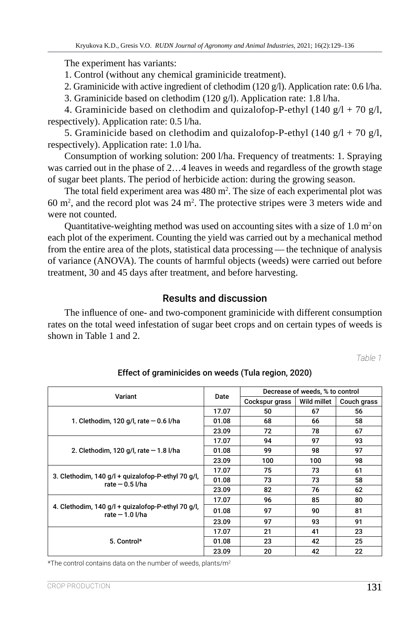The experiment has variants:

1. Control (without any chemical graminicide treatment).

2. Graminicide with active ingredient of clethodim (120 g/l). Application rate: 0.6 l/ha.

3. Graminicide based on clethodim (120 g/l). Application rate: 1.8 l/ha.

4. Graminicide based on clethodim and quizalofop-P-ethyl (140  $g/l + 70 g/l$ , respectively). Application rate: 0.5 l/ha.

5. Graminicide based on clethodim and quizalofop-P-ethyl (140  $g/l + 70 g/l$ , respectively). Application rate: 1.0 l/ha.

Consumption of working solution: 200 l/ha. Frequency of treatments: 1. Spraying was carried out in the phase of 2…4 leaves in weeds and regardless of the growth stage of sugar beet plants. The period of herbicide action: during the growing season.

The total field experiment area was  $480 \text{ m}^2$ . The size of each experimental plot was 60  $\mathrm{m}^2$ , and the record plot was 24  $\mathrm{m}^2$ . The protective stripes were 3 meters wide and were not counted.

Quantitative-weighting method was used on accounting sites with a size of 1.0  $m<sup>2</sup>$  on each plot of the experiment. Counting the yield was carried out by a mechanical method from the entire area of the plots, statistical data processing — the technique of analysis of variance (ANOVA). The counts of harmful objects (weeds) were carried out before treatment, 30 and 45 days after treatment, and before harvesting.

## Results and discussion

The influence of one- and two-component graminicide with different consumption rates on the total weed infestation of sugar beet crops and on certain types of weeds is shown in Table 1 and 2.

*Table 1*

|                                                                        |       | Decrease of weeds, % to control |             |             |  |
|------------------------------------------------------------------------|-------|---------------------------------|-------------|-------------|--|
| Variant                                                                | Date  | Cockspur grass                  | Wild millet | Couch grass |  |
|                                                                        | 17.07 | 50                              | 67          | 56          |  |
| 1. Clethodim, 120 g/l, rate $-$ 0.6 l/ha                               | 01.08 | 68                              | 66          | 58          |  |
|                                                                        | 23.09 | 72                              | 78          | 67          |  |
|                                                                        | 17.07 | 94                              | 97          | 93          |  |
| 2. Clethodim, 120 g/l, rate $-$ 1.8 l/ha                               | 01.08 | 99                              | 98          | 97          |  |
|                                                                        | 23.09 | 100                             | 100         | 98          |  |
|                                                                        | 17.07 | 75                              | 73          | 61          |  |
| 3. Clethodim, 140 g/l + quizalofop-P-ethyl 70 g/l,<br>rate $-0.5$ I/ha | 01.08 | 73                              | 73          | 58          |  |
|                                                                        | 23.09 | 82                              | 76          | 62          |  |
|                                                                        | 17.07 | 96                              | 85          | 80          |  |
| 4. Clethodim, 140 g/l + quizalofop-P-ethyl 70 g/l,<br>rate $-1.0$ I/ha | 01.08 | 97                              | 90          | 81          |  |
|                                                                        | 23.09 | 97                              | 93          | 91          |  |
|                                                                        | 17.07 | 21                              | 41          | 23          |  |
| 5. Control*                                                            | 01.08 | 23                              | 42          | 25          |  |
|                                                                        | 23.09 | 20                              | 42          | 22          |  |

Effect of graminicides on weeds (Tula region, 2020)

\*The control contains data on the number of weeds, plants/m2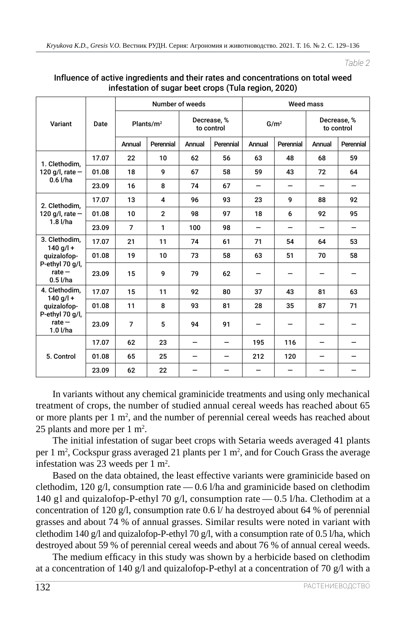*Table 2*

|                                                                                          | Date  | Number of weeds |                |                           | <b>Weed mass</b> |                  |           |                           |           |
|------------------------------------------------------------------------------------------|-------|-----------------|----------------|---------------------------|------------------|------------------|-----------|---------------------------|-----------|
| Variant                                                                                  |       | Plants/ $m^2$   |                | Decrease, %<br>to control |                  | G/m <sup>2</sup> |           | Decrease, %<br>to control |           |
|                                                                                          |       | Annual          | Perennial      | Annual                    | Perennial        | Annual           | Perennial | Annual                    | Perennial |
| 1. Clethodim,<br>120 g/l, rate $-$<br>$0.6$ I/ha                                         | 17.07 | 22              | 10             | 62                        | 56               | 63               | 48        | 68                        | 59        |
|                                                                                          | 01.08 | 18              | 9              | 67                        | 58               | 59               | 43        | 72                        | 64        |
|                                                                                          | 23.09 | 16              | 8              | 74                        | 67               |                  |           |                           |           |
| 2. Clethodim,<br>120 g/l, rate $-$<br>$1.8$ $I/ha$                                       | 17.07 | 13              | 4              | 96                        | 93               | 23               | 9         | 88                        | 92        |
|                                                                                          | 01.08 | 10              | $\overline{2}$ | 98                        | 97               | 18               | 6         | 92                        | 95        |
|                                                                                          | 23.09 | $\overline{7}$  | 1              | 100                       | 98               |                  |           |                           |           |
| 3. Clethodim,<br>140 $q/l +$<br>quizalofop-<br>P-ethyl 70 g/l,<br>rate $-$<br>$0.5$ I/ha | 17.07 | 21              | 11             | 74                        | 61               | 71               | 54        | 64                        | 53        |
|                                                                                          | 01.08 | 19              | 10             | 73                        | 58               | 63               | 51        | 70                        | 58        |
|                                                                                          | 23.09 | 15              | 9              | 79                        | 62               |                  |           |                           |           |
| 4. Clethodim,<br>140 g/l +<br>quizalofop-<br>P-ethyl 70 g/l,<br>$rate -$<br>1.0 l/ha     | 17.07 | 15              | 11             | 92                        | 80               | 37               | 43        | 81                        | 63        |
|                                                                                          | 01.08 | 11              | 8              | 93                        | 81               | 28               | 35        | 87                        | 71        |
|                                                                                          | 23.09 | 7               | 5              | 94                        | 91               |                  |           |                           |           |
| 5. Control                                                                               | 17.07 | 62              | 23             |                           |                  | 195              | 116       |                           |           |
|                                                                                          | 01.08 | 65              | 25             |                           |                  | 212              | 120       |                           |           |
|                                                                                          | 23.09 | 62              | 22             |                           |                  |                  |           |                           |           |

### Influence of active ingredients and their rates and concentrations on total weed infestation of sugar beet crops (Tula region, 2020)

In variants without any chemical graminicide treatments and using only mechanical treatment of crops, the number of studied annual cereal weeds has reached about 65 or more plants per 1  $m^2$ , and the number of perennial cereal weeds has reached about 25 plants and more per  $1 \text{ m}^2$ .

The initial infestation of sugar beet crops with Setaria weeds averaged 41 plants per 1 m<sup>2</sup>, Cockspur grass averaged 21 plants per 1 m<sup>2</sup>, and for Couch Grass the average infestation was 23 weeds per 1  $m^2$ .

Based on the data obtained, the least effective variants were graminicide based on clethodim, 120  $g/l$ , consumption rate  $-0.6$  l/ha and graminicide based on clethodim 140 gl and quizalofop-P-ethyl 70 g/l, consumption rate  $-$  0.5 l/ha. Clethodim at a concentration of 120 g/l, consumption rate 0.6 l/ ha destroyed about 64 % of perennial grasses and about 74 % of annual grasses. Similar results were noted in variant with clethodim 140 g/l and quizalofop-P-ethyl 70 g/l, with a consumption rate of 0.5 l/ha, which destroyed about 59 % of perennial cereal weeds and about 76 % of annual cereal weeds.

The medium efficacy in this study was shown by a herbicide based on clethodim at a concentration of 140 g/l and quizalofop-P-ethyl at a concentration of 70 g/l with a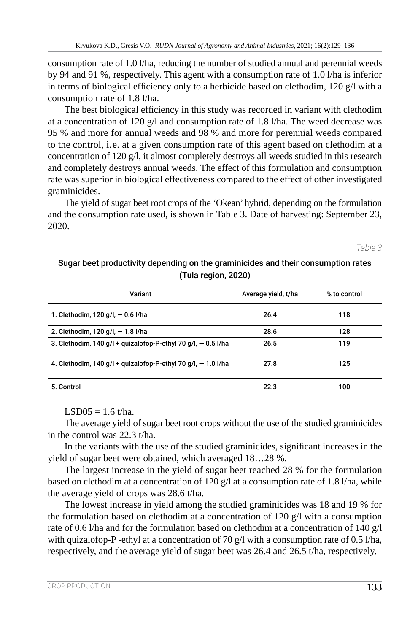consumption rate of 1.0 l/ha, reducing the number of studied annual and perennial weeds by 94 and 91 %, respectively. This agent with a consumption rate of 1.0 l/ha is inferior in terms of biological efficiency only to a herbicide based on clethodim, 120 g/l with a consumption rate of 1.8 l/ha.

The best biological efficiency in this study was recorded in variant with clethodim at a concentration of 120  $g/l$  and consumption rate of 1.8 l/ha. The weed decrease was 95 % and more for annual weeds and 98 % and more for perennial weeds compared to the control, i. e. at a given consumption rate of this agent based on clethodim at a concentration of 120 g/l, it almost completely destroys all weeds studied in this research and completely destroys annual weeds. The effect of this formulation and consumption rate was superior in biological effectiveness compared to the effect of other investigated graminicides.

The yield of sugar beet root crops of the 'Okean' hybrid, depending on the formulation and the consumption rate used, is shown in Table 3. Date of harvesting: September 23, 2020.

*Table 3*

## Sugar beet productivity depending on the graminicides and their consumption rates (Tula region, 2020)

| Variant                                                         | Average yield, t/ha | % to control |
|-----------------------------------------------------------------|---------------------|--------------|
| 1. Clethodim, 120 g/l, $-$ 0.6 l/ha                             | 26.4                | 118          |
| 2. Clethodim, 120 g/l, - 1.8 l/ha                               | 28.6                | 128          |
| 3. Clethodim, 140 g/l + quizalofop-P-ethyl 70 g/l, $-$ 0.5 l/ha | 26.5                | 119          |
| 4. Clethodim, 140 g/l + quizalofop-P-ethyl 70 g/l, $-$ 1.0 l/ha | 27.8                | 125          |
| 5. Control                                                      | 22.3                | 100          |

 $LSD05 = 1.6$  t/ha.

The average yield of sugar beet root crops without the use of the studied graminicides in the control was 22.3 t/ha.

In the variants with the use of the studied graminicides, significant increases in the yield of sugar beet were obtained, which averaged 18…28 %.

The largest increase in the yield of sugar beet reached 28 % for the formulation based on clethodim at a concentration of 120 g/l at a consumption rate of 1.8 l/ha, while the average yield of crops was 28.6 t/ha.

The lowest increase in yield among the studied graminicides was 18 and 19 % for the formulation based on clethodim at a concentration of 120 g/l with a consumption rate of 0.6 l/ha and for the formulation based on clethodim at a concentration of 140 g/l with quizalofop-P -ethyl at a concentration of 70  $g/l$  with a consumption rate of 0.5 l/ha, respectively, and the average yield of sugar beet was 26.4 and 26.5 t/ha, respectively.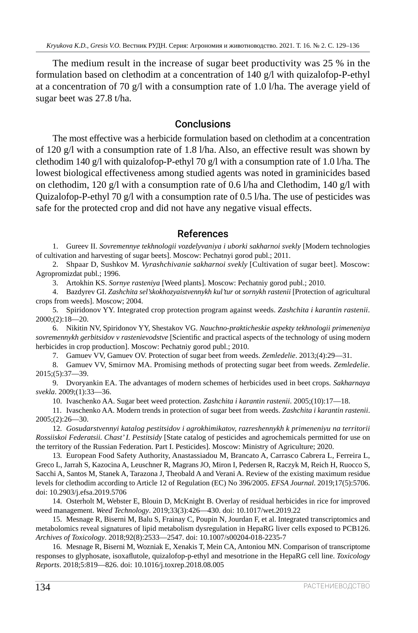The medium result in the increase of sugar beet productivity was 25 % in the formulation based on clethodim at a concentration of 140 g/l with quizalofop-P-ethyl at a concentration of 70 g/l with a consumption rate of 1.0 l/ha. The average yield of sugar beet was 27.8 t/ha.

### **Conclusions**

The most effective was a herbicide formulation based on clethodim at a concentration of 120 g/l with a consumption rate of 1.8 l/ha. Also, an effective result was shown by clethodim 140 g/l with quizalofop-P-ethyl 70 g/l with a consumption rate of 1.0 l/ha. The lowest biological effectiveness among studied agents was noted in graminicides based on clethodim, 120 g/l with a consumption rate of 0.6 l/ha and Clethodim, 140 g/l with Quizalofop-P‑ethyl 70 g/l with a consumption rate of 0.5 l/ha. The use of pesticides was safe for the protected crop and did not have any negative visual effects.

### References

1. Gureev II. *Sovremennye tekhnologii vozdelyvaniya i uborki sakharnoi svekly* [Modern technologies of cultivation and harvesting of sugar beets]. Moscow: Pechatnyi gorod publ.; 2011.

2. Shpaar D, Sushkov M. *Vyrashchivanie sakharnoi svekly* [Cultivation of sugar beet]. Moscow: Agropromizdat publ.; 1996.

3. Artokhin KS. *Sornye rasteniya* [Weed plants]. Moscow: Pechatniy gorod publ.; 2010.

4. Bazdyrev GI. *Zashchita sel'skokhozyaistvennykh kul'tur ot sornykh rastenii* [Protection of agricultural crops from weeds]. Moscow; 2004.

5. Spiridonov YY. Integrated crop protection program against weeds. *Zashchita i karantin rastenii*. 2000;(2):18—20.

6. Nikitin NV, Spiridonov YY, Shestakov VG. *Nauchno-prakticheskie aspekty tekhnologii primeneniya sovremennykh gerbitsidov v rastenievodstve* [Scientific and practical aspects of the technology of using modern herbicides in crop production]. Moscow: Pechatniy gorod publ.; 2010.

7. Gamuev VV, Gamuev OV. Protection of sugar beet from weeds. *Zemledelie*. 2013;(4):29—31.

8. Gamuev VV, Smirnov MA. Promising methods of protecting sugar beet from weeds. *Zemledelie*. 2015;(5):37—39.

9. Dvoryankin EA. The advantages of modern schemes of herbicides used in beet crops. *Sakharnaya svekla*. 2009;(1):33—36.

10. Ivaschenko AA. Sugar beet weed protection. *Zashchita i karantin rastenii*. 2005;(10):17—18.

11. Ivaschenko AA. Modern trends in protection of sugar beet from weeds. *Zashchita i karantin rastenii*. 2005;(2):26—30.

12. *Gosudarstvennyi katalog pestitsidov i agrokhimikatov, razreshennykh k primeneniyu na territorii Rossiiskoi Federatsii. Chast' I. Pestitsidy* [State catalog of pesticides and agrochemicals permitted for use on the territory of the Russian Federation. Part I. Pesticides]. Moscow: Ministry of Agriculture; 2020.

13. European Food Safety Authority, Anastassiadou M, Brancato A, Carrasco Cabrera L, Ferreira L, Greco L, Jarrah S, Kazocina A, Leuschner R, Magrans JO, Miron I, Pedersen R, Raczyk M, Reich H, Ruocco S, Sacchi A, Santos M, Stanek A, Tarazona J, Theobald A and Verani A. Review of the existing maximum residue levels for clethodim according to Article 12 of Regulation (EC) No 396/2005. *EFSA Journal*. 2019;17(5):5706. doi: 10.2903/j.efsa.2019.5706

14. Osterholt M, Webster E, Blouin D, McKnight B. Overlay of residual herbicides in rice for improved weed management. *Weed Technology*. 2019;33(3):426—430. doi: 10.1017/wet.2019.22

15. Mesnage R, Biserni M, Balu S, Frainay C, Poupin N, Jourdan F, et al. Integrated transcriptomics and metabolomics reveal signatures of lipid metabolism dysregulation in HepaRG liver cells exposed to PCB126. *Archives of Toxicology*. 2018;92(8):2533—2547. doi: 10.1007/s00204-018-2235-7

16. Mesnage R, Biserni M, Wozniak E, Xenakis T, Mein CA, Antoniou MN. Comparison of transcriptome responses to glyphosate, isoxaflutole, quizalofop-p-ethyl and mesotrione in the HepaRG cell line. *Toxicology Reports*. 2018;5:819—826. doi: 10.1016/j.toxrep.2018.08.005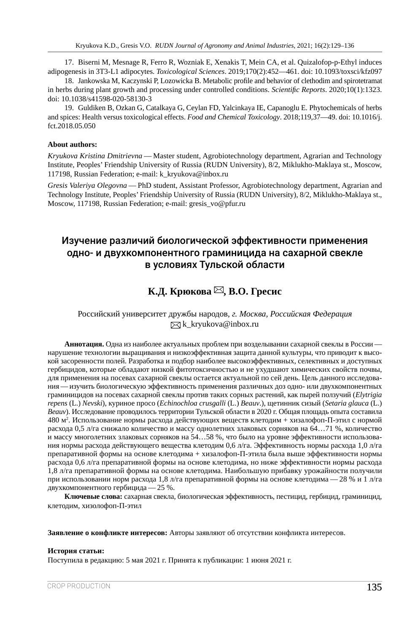17. Biserni M, Mesnage R, Ferro R, Wozniak E, Xenakis T, Mein CA, et al. Quizalofop-p-Ethyl induces adipogenesis in 3T3-L1 adipocytes. *Toxicological Sciences*. 2019;170(2):452—461. doi: 10.1093/toxsci/kfz097

18. Jankowska M, Kaczynski P, Lozowicka B. Metabolic profile and behavior of clethodim and spirotetramat in herbs during plant growth and processing under controlled conditions. *Scientific Reports*. 2020;10(1):1323. doi: 10.1038/s41598-020-58130-3

19. Guldiken B, Ozkan G, Catalkaya G, Ceylan FD, Yalcinkaya IE, Capanoglu E. Phytochemicals of herbs and spices: Health versus toxicological effects. *Food and Chemical Toxicology*. 2018;119,37—49. doi: 10.1016/j. fct.2018.05.050

#### **About authors:**

*Kryukova Kristina Dmitrievna* — Master student, Agrobiotechnology department, Agrarian and Technology Institute, Peoples' Friendship University of Russia (RUDN University), 8/2, Miklukho-Maklaya st., Moscow, 117198, Russian Federation; e-mail: k\_kryukova@inbox.ru

*Gresis Valeriya Olegovna* — PhD student, Assistant Professor, Agrobiotechnology department, Agrarian and Technology Institute, Peoples' Friendship University of Russia (RUDN University), 8/2, Miklukho-Maklaya st., Moscow, 117198, Russian Federation; e-mail: gresis\_vo@pfur.ru

## Изучение различий биологической эффективности применения одно- и двухкомпонентного граминицида на сахарной свекле в условиях Тульской области

# **К.Д. Крюкова** ⊠, В.О. Гресис

#### Российский университет дружбы народов, *г. Москва, Российская Федерация*  $\boxtimes$ k kryukova@inbox.ru

**Аннотация.** Одна из наиболее актуальных проблем при возделывании сахарной свеклы в России нарушение технологии выращивания и низкоэффективная защита данной культуры, что приводит к высокой засоренности полей. Разработка и подбор наиболее высокоэффективных, селективных и доступных гербицидов, которые обладают низкой фитотоксичностью и не ухудшают химических свойств почвы, для применения на посевах сахарной свеклы остается актуальной по сей день. Цель данного исследования — изучить биологическую эффективность применения различных доз одно- или двухкомпонентных граминицидов на посевах сахарной свеклы против таких сорных растений, как пырей ползучий (*Elytrigia repens* (L.) *Nevski*), куриное просо (*Echinochloa crusgalli* (L.) *Beauv*.), щетинник сизый (*Setaria glauca* (L.) *Beauv*). Исследование проводилось территории Тульской области в 2020 г. Общая площадь опыта составила 480 м<sup>2</sup>. Использование нормы расхода действующих веществ клетодим + хизалофоп-П-этил с нормой расхода 0,5 л/га снижало количество и массу однолетних злаковых сорняков на 64…71 %, количество и массу многолетних злаковых сорняков на 54…58 %, что было на уровне эффективности использования нормы расхода действующего вещества клетодим 0,6 л/га. Эффективность нормы расхода 1,0 л/га препаративной формы на основе клетодима + хизалофоп-П‑этила была выше эффективности нормы расхода 0,6 л/га препаративной формы на основе клетодима, но ниже эффективности нормы расхода 1,8 л/га препаративной формы на основе клетодима. Наибольшую прибавку урожайности получили при использовании норм расхода 1,8 л/га препаративной формы на основе клетодима — 28 % и 1 л/га двухкомпонентного гербицида — 25 %.

**Ключевые слова:** сахарная свекла, биологическая эффективность, пестицид, гербицид, граминицид, клетодим, хизолофоп-П‑этил

**Заявление о конфликте интересов:** Авторы заявляют об отсутствии конфликта интересов.

#### **История статьи:**

Поступила в редакцию: 5 мая 2021 г. Принята к публикации: 1 июня 2021 г.